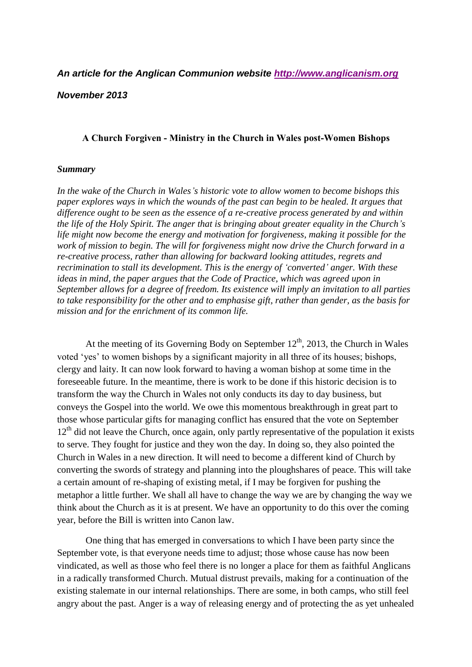## *An article for the Anglican Communion website [http://www.anglicanism.org](http://www.anglicanism.org/admin/docs/a_church_forgiven_3a.pdf)*

## *November 2013*

## **A Church Forgiven - Ministry in the Church in Wales post-Women Bishops**

## *Summary*

*In the wake of the Church in Wales's historic vote to allow women to become bishops this paper explores ways in which the wounds of the past can begin to be healed. It argues that difference ought to be seen as the essence of a re-creative process generated by and within the life of the Holy Spirit. The anger that is bringing about greater equality in the Church's life might now become the energy and motivation for forgiveness, making it possible for the work of mission to begin. The will for forgiveness might now drive the Church forward in a re-creative process, rather than allowing for backward looking attitudes, regrets and recrimination to stall its development. This is the energy of 'converted' anger. With these ideas in mind, the paper argues that the Code of Practice, which was agreed upon in September allows for a degree of freedom. Its existence will imply an invitation to all parties to take responsibility for the other and to emphasise gift, rather than gender, as the basis for mission and for the enrichment of its common life.*

At the meeting of its Governing Body on September  $12<sup>th</sup>$ , 2013, the Church in Wales voted 'yes' to women bishops by a significant majority in all three of its houses; bishops, clergy and laity. It can now look forward to having a woman bishop at some time in the foreseeable future. In the meantime, there is work to be done if this historic decision is to transform the way the Church in Wales not only conducts its day to day business, but conveys the Gospel into the world. We owe this momentous breakthrough in great part to those whose particular gifts for managing conflict has ensured that the vote on September 12<sup>th</sup> did not leave the Church, once again, only partly representative of the population it exists to serve. They fought for justice and they won the day. In doing so, they also pointed the Church in Wales in a new direction. It will need to become a different kind of Church by converting the swords of strategy and planning into the ploughshares of peace. This will take a certain amount of re-shaping of existing metal, if I may be forgiven for pushing the metaphor a little further. We shall all have to change the way we are by changing the way we think about the Church as it is at present. We have an opportunity to do this over the coming year, before the Bill is written into Canon law.

One thing that has emerged in conversations to which I have been party since the September vote, is that everyone needs time to adjust; those whose cause has now been vindicated, as well as those who feel there is no longer a place for them as faithful Anglicans in a radically transformed Church. Mutual distrust prevails, making for a continuation of the existing stalemate in our internal relationships. There are some, in both camps, who still feel angry about the past. Anger is a way of releasing energy and of protecting the as yet unhealed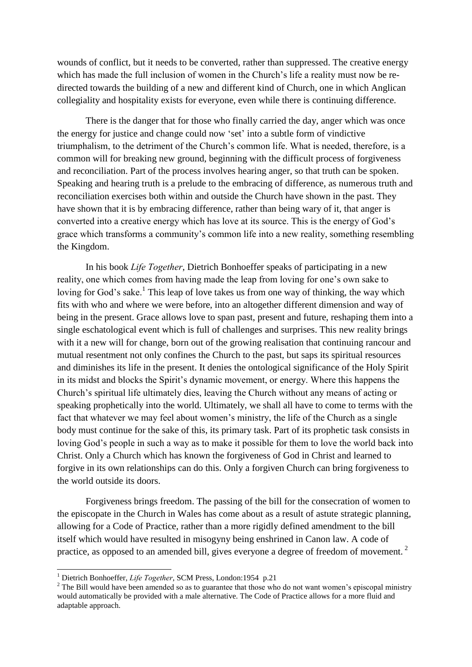wounds of conflict, but it needs to be converted, rather than suppressed. The creative energy which has made the full inclusion of women in the Church's life a reality must now be redirected towards the building of a new and different kind of Church, one in which Anglican collegiality and hospitality exists for everyone, even while there is continuing difference.

There is the danger that for those who finally carried the day, anger which was once the energy for justice and change could now 'set' into a subtle form of vindictive triumphalism, to the detriment of the Church's common life. What is needed, therefore, is a common will for breaking new ground, beginning with the difficult process of forgiveness and reconciliation. Part of the process involves hearing anger, so that truth can be spoken. Speaking and hearing truth is a prelude to the embracing of difference, as numerous truth and reconciliation exercises both within and outside the Church have shown in the past. They have shown that it is by embracing difference, rather than being wary of it, that anger is converted into a creative energy which has love at its source. This is the energy of God's grace which transforms a community's common life into a new reality, something resembling the Kingdom.

In his book *Life Together*, Dietrich Bonhoeffer speaks of participating in a new reality, one which comes from having made the leap from loving for one's own sake to loving for God's sake.<sup>1</sup> This leap of love takes us from one way of thinking, the way which fits with who and where we were before, into an altogether different dimension and way of being in the present. Grace allows love to span past, present and future, reshaping them into a single eschatological event which is full of challenges and surprises. This new reality brings with it a new will for change, born out of the growing realisation that continuing rancour and mutual resentment not only confines the Church to the past, but saps its spiritual resources and diminishes its life in the present. It denies the ontological significance of the Holy Spirit in its midst and blocks the Spirit's dynamic movement, or energy. Where this happens the Church's spiritual life ultimately dies, leaving the Church without any means of acting or speaking prophetically into the world. Ultimately, we shall all have to come to terms with the fact that whatever we may feel about women's ministry, the life of the Church as a single body must continue for the sake of this, its primary task. Part of its prophetic task consists in loving God's people in such a way as to make it possible for them to love the world back into Christ. Only a Church which has known the forgiveness of God in Christ and learned to forgive in its own relationships can do this. Only a forgiven Church can bring forgiveness to the world outside its doors.

Forgiveness brings freedom. The passing of the bill for the consecration of women to the episcopate in the Church in Wales has come about as a result of astute strategic planning, allowing for a Code of Practice, rather than a more rigidly defined amendment to the bill itself which would have resulted in misogyny being enshrined in Canon law. A code of practice, as opposed to an amended bill, gives everyone a degree of freedom of movement.<sup>2</sup>

 $\overline{a}$ 

<sup>1</sup> Dietrich Bonhoeffer, *Life Together*, SCM Press, London:1954 p.21

<sup>&</sup>lt;sup>2</sup> The Bill would have been amended so as to guarantee that those who do not want women's episcopal ministry would automatically be provided with a male alternative. The Code of Practice allows for a more fluid and adaptable approach.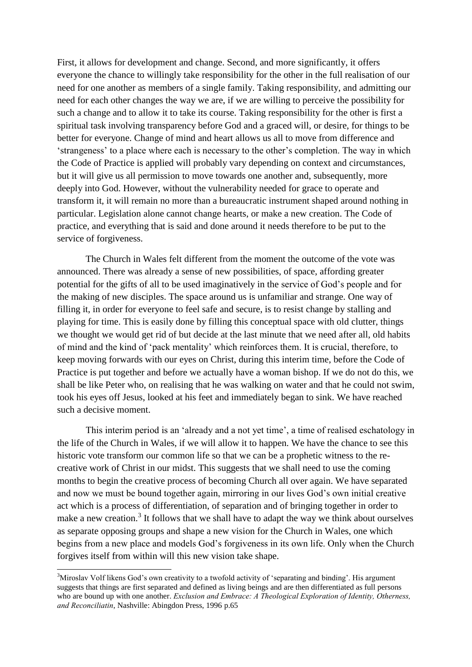First, it allows for development and change. Second, and more significantly, it offers everyone the chance to willingly take responsibility for the other in the full realisation of our need for one another as members of a single family. Taking responsibility, and admitting our need for each other changes the way we are, if we are willing to perceive the possibility for such a change and to allow it to take its course. Taking responsibility for the other is first a spiritual task involving transparency before God and a graced will, or desire, for things to be better for everyone. Change of mind and heart allows us all to move from difference and 'strangeness' to a place where each is necessary to the other's completion. The way in which the Code of Practice is applied will probably vary depending on context and circumstances, but it will give us all permission to move towards one another and, subsequently, more deeply into God. However, without the vulnerability needed for grace to operate and transform it, it will remain no more than a bureaucratic instrument shaped around nothing in particular. Legislation alone cannot change hearts, or make a new creation. The Code of practice, and everything that is said and done around it needs therefore to be put to the service of forgiveness.

The Church in Wales felt different from the moment the outcome of the vote was announced. There was already a sense of new possibilities, of space, affording greater potential for the gifts of all to be used imaginatively in the service of God's people and for the making of new disciples. The space around us is unfamiliar and strange. One way of filling it, in order for everyone to feel safe and secure, is to resist change by stalling and playing for time. This is easily done by filling this conceptual space with old clutter, things we thought we would get rid of but decide at the last minute that we need after all, old habits of mind and the kind of 'pack mentality' which reinforces them. It is crucial, therefore, to keep moving forwards with our eyes on Christ, during this interim time, before the Code of Practice is put together and before we actually have a woman bishop. If we do not do this, we shall be like Peter who, on realising that he was walking on water and that he could not swim, took his eyes off Jesus, looked at his feet and immediately began to sink. We have reached such a decisive moment.

This interim period is an 'already and a not yet time', a time of realised eschatology in the life of the Church in Wales, if we will allow it to happen. We have the chance to see this historic vote transform our common life so that we can be a prophetic witness to the recreative work of Christ in our midst. This suggests that we shall need to use the coming months to begin the creative process of becoming Church all over again. We have separated and now we must be bound together again, mirroring in our lives God's own initial creative act which is a process of differentiation, of separation and of bringing together in order to make a new creation.<sup>3</sup> It follows that we shall have to adapt the way we think about ourselves as separate opposing groups and shape a new vision for the Church in Wales, one which begins from a new place and models God's forgiveness in its own life. Only when the Church forgives itself from within will this new vision take shape.

 $\overline{a}$ 

<sup>&</sup>lt;sup>3</sup>Miroslav Volf likens God's own creativity to a twofold activity of 'separating and binding'. His argument suggests that things are first separated and defined as living beings and are then differentiated as full persons who are bound up with one another. *Exclusion and Embrace: A Theological Exploration of Identity, Otherness, and Reconciliatin*, Nashville: Abingdon Press, 1996 p.65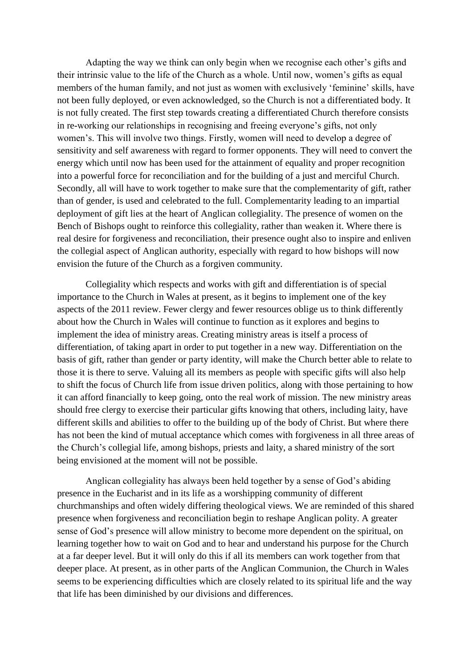Adapting the way we think can only begin when we recognise each other's gifts and their intrinsic value to the life of the Church as a whole. Until now, women's gifts as equal members of the human family, and not just as women with exclusively 'feminine' skills, have not been fully deployed, or even acknowledged, so the Church is not a differentiated body. It is not fully created. The first step towards creating a differentiated Church therefore consists in re-working our relationships in recognising and freeing everyone's gifts, not only women's. This will involve two things. Firstly, women will need to develop a degree of sensitivity and self awareness with regard to former opponents. They will need to convert the energy which until now has been used for the attainment of equality and proper recognition into a powerful force for reconciliation and for the building of a just and merciful Church. Secondly, all will have to work together to make sure that the complementarity of gift, rather than of gender, is used and celebrated to the full. Complementarity leading to an impartial deployment of gift lies at the heart of Anglican collegiality. The presence of women on the Bench of Bishops ought to reinforce this collegiality, rather than weaken it. Where there is real desire for forgiveness and reconciliation, their presence ought also to inspire and enliven the collegial aspect of Anglican authority, especially with regard to how bishops will now envision the future of the Church as a forgiven community.

Collegiality which respects and works with gift and differentiation is of special importance to the Church in Wales at present, as it begins to implement one of the key aspects of the 2011 review. Fewer clergy and fewer resources oblige us to think differently about how the Church in Wales will continue to function as it explores and begins to implement the idea of ministry areas. Creating ministry areas is itself a process of differentiation, of taking apart in order to put together in a new way. Differentiation on the basis of gift, rather than gender or party identity, will make the Church better able to relate to those it is there to serve. Valuing all its members as people with specific gifts will also help to shift the focus of Church life from issue driven politics, along with those pertaining to how it can afford financially to keep going, onto the real work of mission. The new ministry areas should free clergy to exercise their particular gifts knowing that others, including laity, have different skills and abilities to offer to the building up of the body of Christ. But where there has not been the kind of mutual acceptance which comes with forgiveness in all three areas of the Church's collegial life, among bishops, priests and laity, a shared ministry of the sort being envisioned at the moment will not be possible.

Anglican collegiality has always been held together by a sense of God's abiding presence in the Eucharist and in its life as a worshipping community of different churchmanships and often widely differing theological views. We are reminded of this shared presence when forgiveness and reconciliation begin to reshape Anglican polity. A greater sense of God's presence will allow ministry to become more dependent on the spiritual, on learning together how to wait on God and to hear and understand his purpose for the Church at a far deeper level. But it will only do this if all its members can work together from that deeper place. At present, as in other parts of the Anglican Communion, the Church in Wales seems to be experiencing difficulties which are closely related to its spiritual life and the way that life has been diminished by our divisions and differences.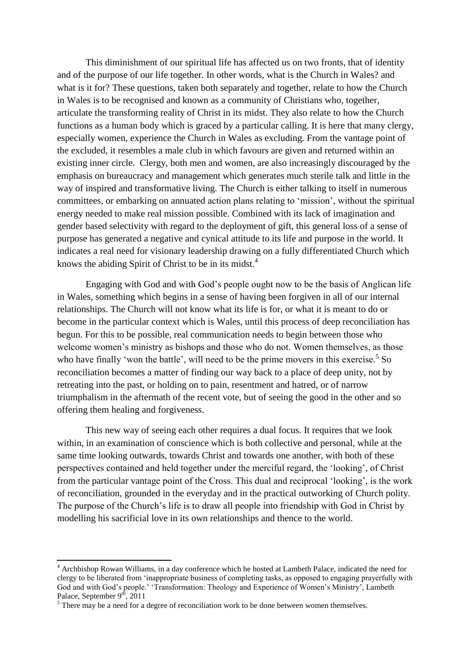This diminishment of our spiritual life has affected us on two fronts, that of identity and of the purpose of our life together. In other words, what is the Church in Wales? and what is it for? These questions, taken both separately and together, relate to how the Church in Wales is to be recognised and known as a community of Christians who, together, articulate the transforming reality of Christ in its midst. They also relate to how the Church functions as a human body which is graced by a particular calling. It is here that many clergy, especially women, experience the Church in Wales as excluding. From the vantage point of the excluded, it resembles a male club in which favours are given and returned within an existing inner circle. Clergy, both men and women, are also increasingly discouraged by the emphasis on bureaucracy and management which generates much sterile talk and little in the way of inspired and transformative living. The Church is either talking to itself in numerous committees, or embarking on annuated action plans relating to 'mission', without the spiritual energy needed to make real mission possible. Combined with its lack of imagination and gender based selectivity with regard to the deployment of gift, this general loss of a sense of purpose has generated a negative and cynical attitude to its life and purpose in the world. It indicates a real need for visionary leadership drawing on a fully differentiated Church which knows the abiding Spirit of Christ to be in its midst.<sup>4</sup>

Engaging with God and with God's people ought now to be the basis of Anglican life in Wales, something which begins in a sense of having been forgiven in all of our internal relationships. The Church will not know what its life is for, or what it is meant to do or become in the particular context which is Wales, until this process of deep reconciliation has begun. For this to be possible, real communication needs to begin between those who welcome women's ministry as bishops and those who do not. Women themselves, as those who have finally 'won the battle', will need to be the prime movers in this exercise.<sup>5</sup> So reconciliation becomes a matter of finding our way back to a place of deep unity, not by retreating into the past, or holding on to pain, resentment and hatred, or of narrow triumphalism in the aftermath of the recent vote, but of seeing the good in the other and so offering them healing and forgiveness.

This new way of seeing each other requires a dual focus. It requires that we look within, in an examination of conscience which is both collective and personal, while at the same time looking outwards, towards Christ and towards one another, with both of these perspectives contained and held together under the merciful regard, the 'looking', of Christ from the particular vantage point of the Cross. This dual and reciprocal 'looking', is the work of reconciliation, grounded in the everyday and in the practical outworking of Church polity. The purpose of the Church's life is to draw all people into friendship with God in Christ by modelling his sacrificial love in its own relationships and thence to the world.

l

<sup>4</sup> Archbishop Rowan Williams, in a day conference which he hosted at Lambeth Palace, indicated the need for clergy to be liberated from 'inappropriate business of completing tasks, as opposed to engaging prayerfully with God and with God's people.' 'Transformation: Theology and Experience of Women's Ministry', Lambeth Palace, September  $9<sup>th</sup>$ , 2011

 $<sup>5</sup>$  There may be a need for a degree of reconciliation work to be done between women themselves.</sup>